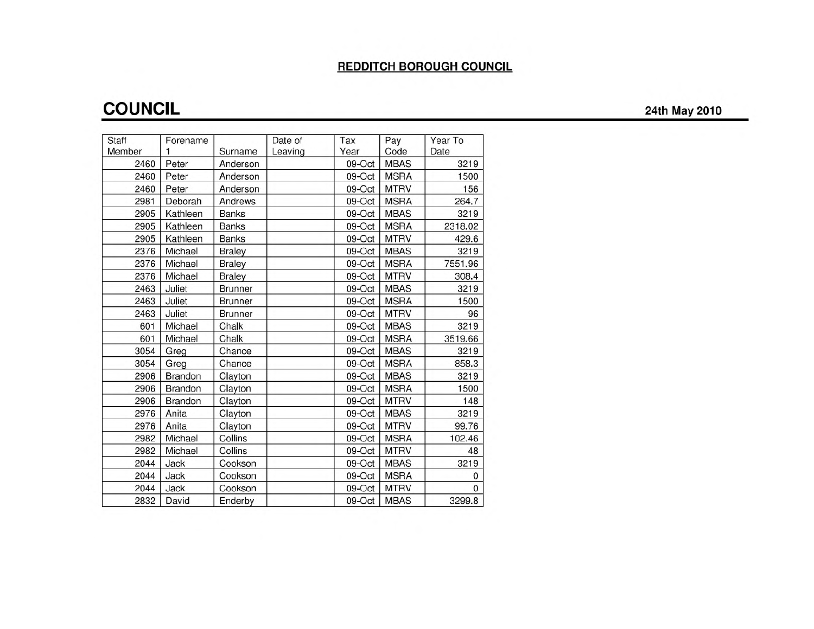### **REDDITCH BOROUGH COUNCIL**

# **COUNCIL 24th May <sup>2010</sup>**

| Staff  | Forename       |                | Date of | Tax    | Pay         | Year To  |
|--------|----------------|----------------|---------|--------|-------------|----------|
| Member |                | Surname        | Leaving | Year   | Code        | Date     |
| 2460   | Peter          | Anderson       |         | 09-Oct | <b>MBAS</b> | 3219     |
| 2460   | Peter          | Anderson       |         | 09-Oct | <b>MSRA</b> | 1500     |
| 2460   | Peter          | Anderson       |         | 09-Oct | <b>MTRV</b> | 156      |
| 2981   | Deborah        | Andrews        |         | 09-Oct | <b>MSRA</b> | 264.7    |
| 2905   | Kathleen       | <b>Banks</b>   |         | 09-Oct | <b>MBAS</b> | 3219     |
| 2905   | Kathleen       | <b>Banks</b>   |         | 09-Oct | <b>MSRA</b> | 2318.02  |
| 2905   | Kathleen       | <b>Banks</b>   |         | 09-Oct | <b>MTRV</b> | 429.6    |
| 2376   | Michael        | <b>Braley</b>  |         | 09-Oct | <b>MBAS</b> | 3219     |
| 2376   | Michael        | <b>Braley</b>  |         | 09-Oct | <b>MSRA</b> | 7551.96  |
| 2376   | Michael        | <b>Braley</b>  |         | 09-Oct | <b>MTRV</b> | 308.4    |
| 2463   | Juliet         | <b>Brunner</b> |         | 09-Oct | <b>MBAS</b> | 3219     |
| 2463   | Juliet         | <b>Brunner</b> |         | 09-Oct | <b>MSRA</b> | 1500     |
| 2463   | Juliet         | <b>Brunner</b> |         | 09-Oct | <b>MTRV</b> | 96       |
| 601    | Michael        | Chalk          |         | 09-Oct | <b>MBAS</b> | 3219     |
| 601    | Michael        | Chalk          |         | 09-Oct | <b>MSRA</b> | 3519.66  |
| 3054   | Greg           | Chance         |         | 09-Oct | <b>MBAS</b> | 3219     |
| 3054   | Greg           | Chance         |         | 09-Oct | <b>MSRA</b> | 858.3    |
| 2906   | Brandon        | Clayton        |         | 09-Oct | <b>MBAS</b> | 3219     |
| 2906   | <b>Brandon</b> | Clayton        |         | 09-Oct | <b>MSRA</b> | 1500     |
| 2906   | Brandon        | Clayton        |         | 09-Oct | <b>MTRV</b> | 148      |
| 2976   | Anita          | Clayton        |         | 09-Oct | <b>MBAS</b> | 3219     |
| 2976   | Anita          | Clayton        |         | 09-Oct | <b>MTRV</b> | 99.76    |
| 2982   | Michael        | Collins        |         | 09-Oct | <b>MSRA</b> | 102.46   |
| 2982   | Michael        | Collins        |         | 09-Oct | <b>MTRV</b> | 48       |
| 2044   | Jack           | Cookson        |         | 09-Oct | <b>MBAS</b> | 3219     |
| 2044   | Jack           | Cookson        |         | 09-Oct | <b>MSRA</b> | 0        |
| 2044   | Jack           | Cookson        |         | 09-Oct | <b>MTRV</b> | $\Omega$ |
| 2832   | David          | Enderby        |         | 09-Oct | <b>MBAS</b> | 3299.8   |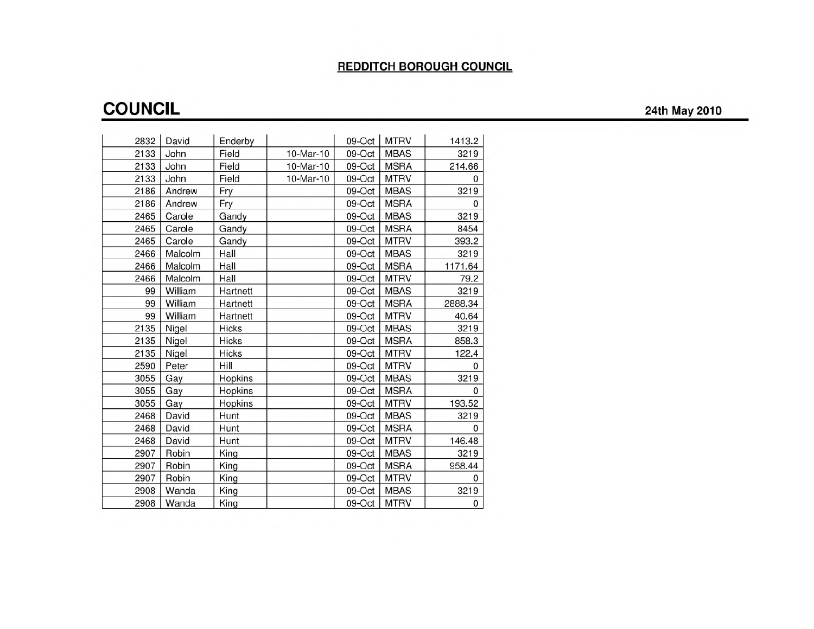### **REDDITCH BOROUGH COUNCIL**

# **COUNCIL 24th May <sup>2010</sup>**

| 2832 | David   | Enderby      |           | 09-Oct | <b>MTRV</b> | 1413.2       |
|------|---------|--------------|-----------|--------|-------------|--------------|
| 2133 | John    | Field        | 10-Mar-10 | 09-Oct | <b>MBAS</b> | 3219         |
| 2133 | John    | Field        | 10-Mar-10 | 09-Oct | <b>MSRA</b> | 214.66       |
| 2133 | John    | Field        | 10-Mar-10 | 09-Oct | <b>MTRV</b> | <sup>0</sup> |
| 2186 | Andrew  | Fry          |           | 09-Oct | <b>MBAS</b> | 3219         |
| 2186 | Andrew  | Fry          |           | 09-Oct | <b>MSRA</b> | $\Omega$     |
| 2465 | Carole  | Gandy        |           | 09-Oct | <b>MBAS</b> | 3219         |
| 2465 | Carole  | Gandy        |           | 09-Oct | <b>MSRA</b> | 8454         |
| 2465 | Carole  | Gandy        |           | 09-Oct | <b>MTRV</b> | 393.2        |
| 2466 | Malcolm | Hall         |           | 09-Oct | <b>MBAS</b> | 3219         |
| 2466 | Malcolm | Hall         |           | 09-Oct | <b>MSRA</b> | 1171.64      |
| 2466 | Malcolm | Hall         |           | 09-Oct | <b>MTRV</b> | 79.2         |
| 99   | William | Hartnett     |           | 09-Oct | <b>MBAS</b> | 3219         |
| 99   | William | Hartnett     |           | 09-Oct | <b>MSRA</b> | 2888.34      |
| 99   | William | Hartnett     |           | 09-Oct | <b>MTRV</b> | 40.64        |
| 2135 | Nigel   | Hicks        |           | 09-Oct | <b>MBAS</b> | 3219         |
| 2135 | Nigel   | <b>Hicks</b> |           | 09-Oct | <b>MSRA</b> | 858.3        |
| 2135 | Nigel   | <b>Hicks</b> |           | 09-Oct | <b>MTRV</b> | 122.4        |
| 2590 | Peter   | Hill         |           | 09-Oct | <b>MTRV</b> | 0            |
| 3055 | Gay     | Hopkins      |           | 09-Oct | <b>MBAS</b> | 3219         |
| 3055 | Gay     | Hopkins      |           | 09-Oct | <b>MSRA</b> | $\Omega$     |
| 3055 | Gay     | Hopkins      |           | 09-Oct | <b>MTRV</b> | 193.52       |
| 2468 | David   | Hunt         |           | 09-Oct | <b>MBAS</b> | 3219         |
| 2468 | David   | Hunt         |           | 09-Oct | <b>MSRA</b> | $\Omega$     |
| 2468 | David   | Hunt         |           | 09-Oct | <b>MTRV</b> | 146.48       |
| 2907 | Robin   | King         |           | 09-Oct | <b>MBAS</b> | 3219         |
| 2907 | Robin   | King         |           | 09-Oct | <b>MSRA</b> | 958.44       |
| 2907 | Robin   | King         |           | 09-Oct | <b>MTRV</b> | $\Omega$     |
| 2908 | Wanda   | King         |           | 09-Oct | <b>MBAS</b> | 3219         |
| 2908 | Wanda   | King         |           | 09-Oct | <b>MTRV</b> | 0            |